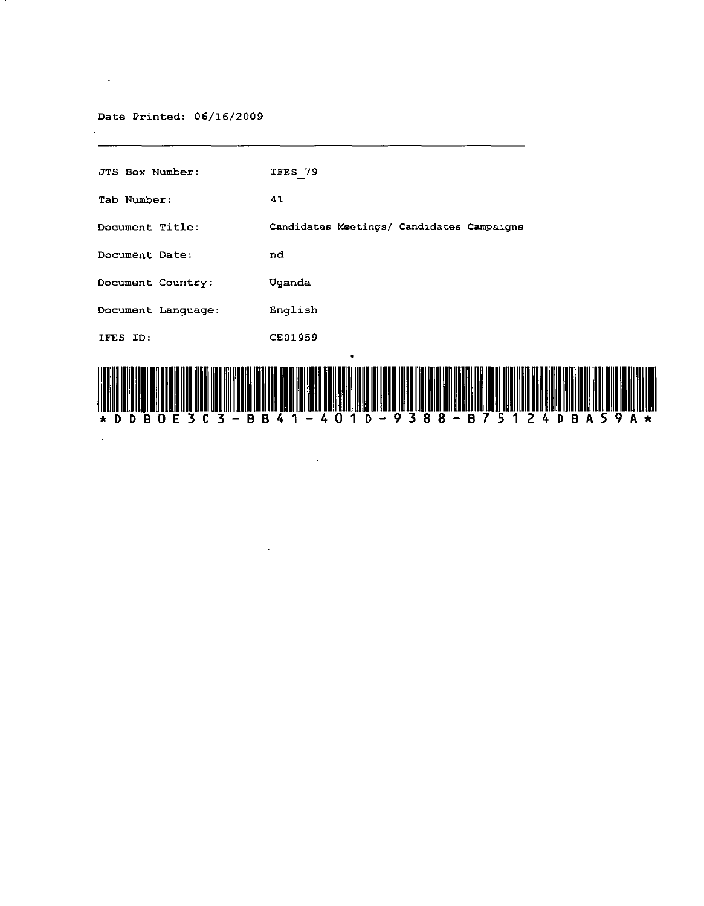Date Printed: 06/16/2009

 $\sim 10^{11}$  km s  $^{-1}$ 

 $\alpha$ 

| в<br>в<br>B<br>F<br>$\star$<br>U<br>D<br>D | 8<br>9<br>8<br>B<br>в<br>D<br>$\star$<br>n<br>U<br>4 |
|--------------------------------------------|------------------------------------------------------|
| IFES ID:                                   | <b>CE01959</b><br>٠                                  |
| Document Language:                         | English                                              |
| Document Country:                          | Uganda                                               |
| Document Date:                             | nd                                                   |
| Document Title:                            | Candidates Meetings/ Candidates Campaigns            |
| Tab Number.                                | 41                                                   |
| JTS Box Number:                            | IFES 79                                              |

 $\sim$ 

 $\mathcal{L}^{\mathcal{L}}(\mathcal{L}^{\mathcal{L}})$  and  $\mathcal{L}^{\mathcal{L}}(\mathcal{L}^{\mathcal{L}})$  and  $\mathcal{L}^{\mathcal{L}}(\mathcal{L}^{\mathcal{L}})$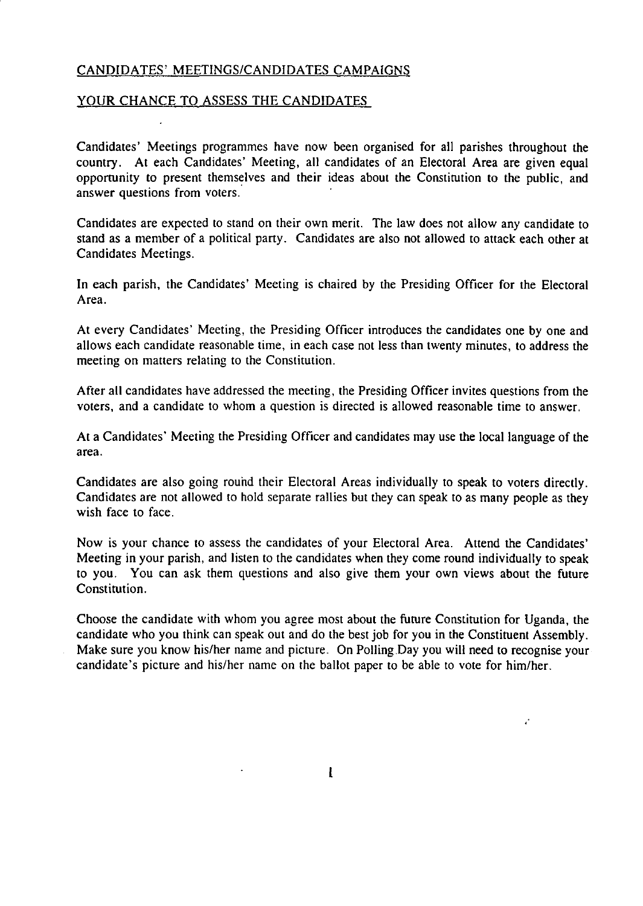## CANDIDATES' MEETINGS/CANDIDATES CAMPAIGNS

### YOUR CHANCE TO ASSESS THE CANDIDATES

Candidates' Meetings programmes have now been organised for all parishes throughout the country. At each Candidates' Meeting, all candidates of an Electoral Area are given equal opportunity to present themselves and their ideas about the Constitution to the public, and answer questions from voters.

Candidates are expected to stand on their own merit. The law does not allow any candidate to stand as a member of a political party. Candidates are also not allowed to attack each other at Candidates Meetings.

In each parish, the Candidates' Meeting is chaired by the Presiding Officer for the Electoral Area.

At every Candidates' Meeting, the Presiding Officer introduces the candidates one by one and allows each candidate reasonable time, in each case not less than twenty minutes, to address the meeting on matters relating to the Constitution.

After all candidates have addressed the meeting, the Presiding Officer invites questions from the voters, and a candidate to whom a question is directed is allowed reasonable time to answer.

At a Candidates' Meeting the Presiding Officer and candidates may use the local language of the area.

Candidates are also going round their Electoral Areas individually to speak to voters directly. Candidates are not allowed to hold separate rallies but they can speak to as many people as they wish face to face.

Now is your chance to assess the candidates of your Electoral Area. Attend the Candidates' Meeting in your parish, and listen to the candidates when they come round individually to speak to you. You can ask them questions and also give them your own views about the future Constitution.

Choose the candidate with whom you agree most about the future Constitution for Uganda, the candidate who you think can speak out and do the best job for you in the Constituent Assembly. Make sure you know his/her name and picture. On Polling Day you will need to recognise your candidate's picture and his/her name on the ballot paper to be able to vote for him/her.

1

a.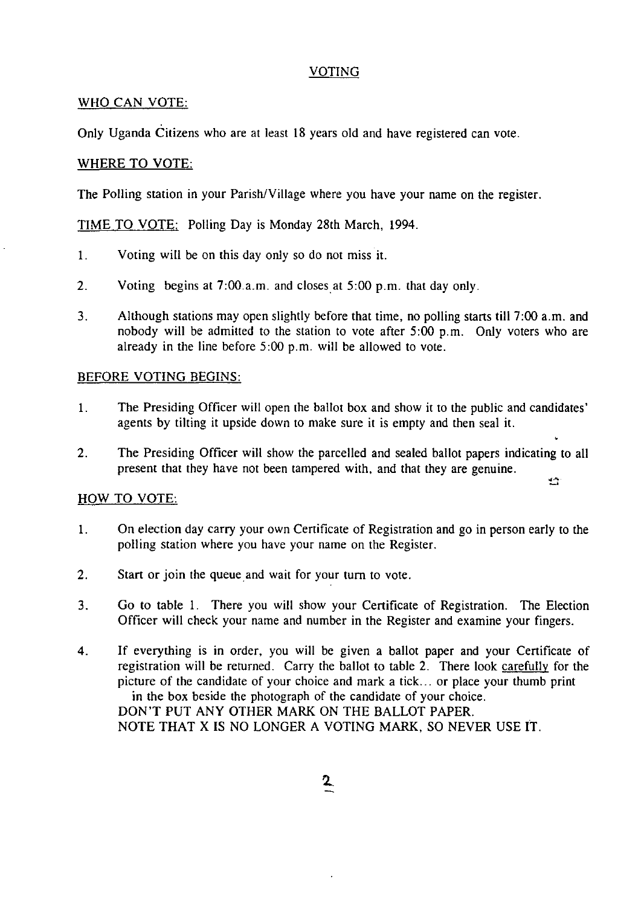## VOTING

## WHO CAN VOTE:

Only Uganda Citizens who are at least 18 years old and have registered can vote.

## WHERE TO VOTE:

The Polling station in your Parish/Village where you have your name on the register.

TIME TO VOTE: Polling Day is Monday 28th March, 1994.

- 1. Voting will be on this day only so do not miss it.
- 2. Voting begins at 7:00.a.m. and closes at 5:00 p.m. that day only.
- 3. Although stations may open slightly before that time, no polling starts till 7:00 a.m. and nobody will be admitted to the station to vote after 5:00 p.m. Only voters who are already in the line before 5:00 p.m. will be allowed to vote.

## BEFORE VOTING BEGINS:

- 1. The Presiding Officer will open the ballot box and show it to the public and candidates' agents by tilting it upside down to make sure it is empty and then seal it.
- 2. The Presiding Officer will show the parcelled and sealed ballot papers indicating to all present that they have not been tampered with, and that they are genuine.  $\mathbb{Z}^{\times}$

# HOW TO VOTE:

- 1. On election day carry your own Certificate of Registration and go in person early to the polling station where you have your name on the Register.
- 2. Start or join the queue and wait for your tum to vote.
- 3. Go to table 1. There you will show your Certificate of Registration. The Election Officer will check your name and number in the Register and examine your fingers.
- 4. If everything is in order, you will be given a ballot paper and your Certificate of registration will be returned. Carry the ballot to table 2. There look carefully for the picture of the candidate of your choice and mark a tick ... or place your thumb print in the box beside the photograph of the candidate of your choice. DON'T PUT ANY OTHER MARK ON THE BALLOT PAPER. NOTE THAT X IS NO LONGER A VOTING MARK, SO NEVER USE IT.